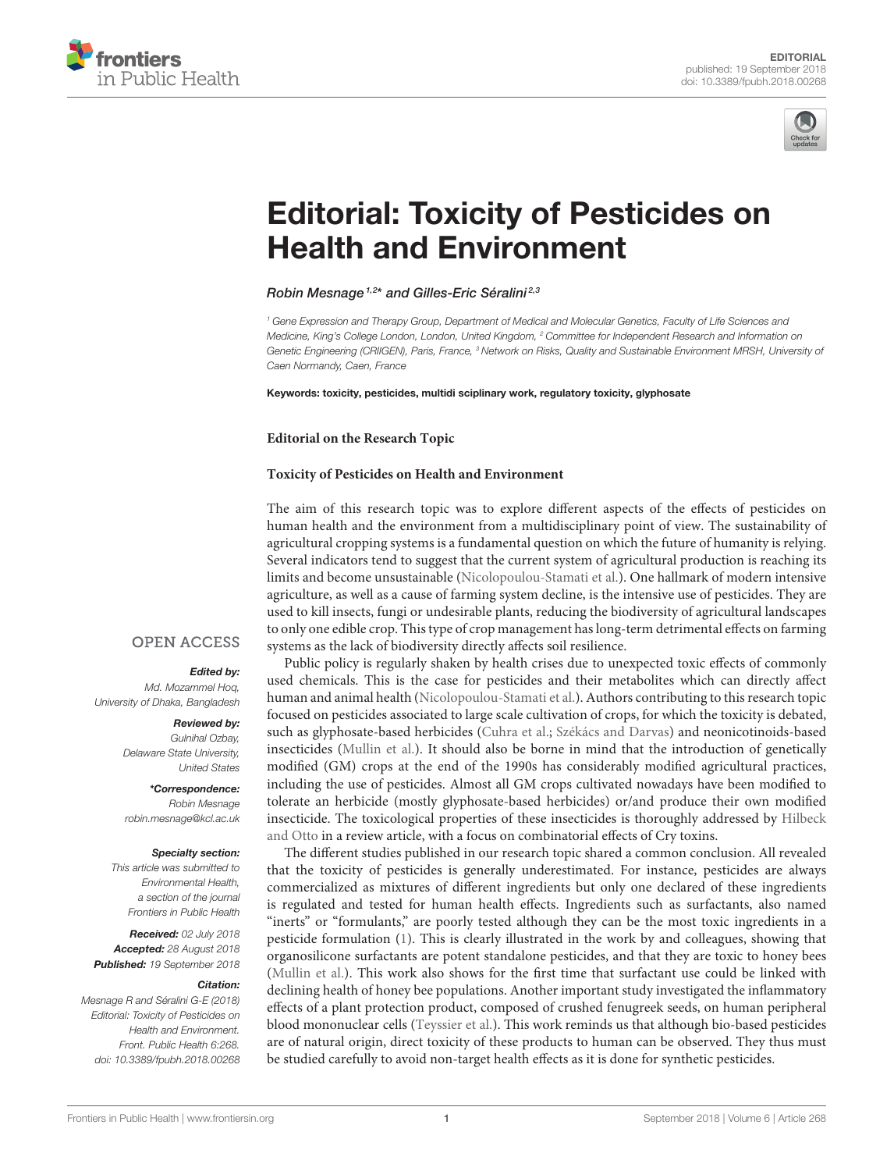



# [Editorial: Toxicity of Pesticides on](https://www.frontiersin.org/articles/10.3389/fpubh.2018.00268/full) Health and Environment

# [Robin Mesnage](http://loop.frontiersin.org/people/205792/overview)<sup>1,2\*</sup> and Gilles-Eric Séralini<sup>2,3</sup>

<sup>1</sup> Gene Expression and Therapy Group, Department of Medical and Molecular Genetics, Faculty of Life Sciences and Medicine, King's College London, London, United Kingdom, <sup>2</sup> Committee for Independent Research and Information on Genetic Engineering (CRIIGEN), Paris, France, <sup>3</sup> Network on Risks, Quality and Sustainable Environment MRSH, University of Caen Normandy, Caen, France

Keywords: toxicity, pesticides, multidi sciplinary work, regulatory toxicity, glyphosate

#### **Editorial on the Research Topic**

## **[Toxicity of Pesticides on Health and Environment](https://www.frontiersin.org/research-topics/3808/toxicity-of-pesticides-on-health-and-environment)**

The aim of this research topic was to explore different aspects of the effects of pesticides on human health and the environment from a multidisciplinary point of view. The sustainability of agricultural cropping systems is a fundamental question on which the future of humanity is relying. Several indicators tend to suggest that the current system of agricultural production is reaching its limits and become unsustainable [\(Nicolopoulou-Stamati et al.\)](https://doi.org/10.3389/fpubh.2016.00148). One hallmark of modern intensive agriculture, as well as a cause of farming system decline, is the intensive use of pesticides. They are used to kill insects, fungi or undesirable plants, reducing the biodiversity of agricultural landscapes to only one edible crop. This type of crop management has long-term detrimental effects on farming systems as the lack of biodiversity directly affects soil resilience.

## **OPEN ACCESS**

## Edited by:

Md. Mozammel Hoq, University of Dhaka, Bangladesh

#### Reviewed by:

Gulnihal Ozbay, Delaware State University, United States

\*Correspondence: Robin Mesnage [robin.mesnage@kcl.ac.uk](mailto:robin.mesnage@kcl.ac.uk)

#### Specialty section:

This article was submitted to Environmental Health, a section of the journal Frontiers in Public Health

Received: 02 July 2018 Accepted: 28 August 2018 Published: 19 September 2018

#### Citation:

Mesnage R and Séralini G-E (2018) Editorial: Toxicity of Pesticides on Health and Environment. Front. Public Health 6:268. doi: [10.3389/fpubh.2018.00268](https://doi.org/10.3389/fpubh.2018.00268)

Public policy is regularly shaken by health crises due to unexpected toxic effects of commonly used chemicals. This is the case for pesticides and their metabolites which can directly affect human and animal health [\(Nicolopoulou-Stamati et al.\)](https://doi.org/10.3389/fpubh.2016.00148). Authors contributing to this research topic focused on pesticides associated to large scale cultivation of crops, for which the toxicity is debated, such as glyphosate-based herbicides [\(Cuhra et al.;](https://doi.org/10.3389/fenvs.2016.00028) [Székács and Darvas\)](https://doi.org/10.3389/fenvs.2018.00078) and neonicotinoids-based insecticides [\(Mullin et al.\)](https://doi.org/10.3389/fpubh.2016.00092). It should also be borne in mind that the introduction of genetically modified (GM) crops at the end of the 1990s has considerably modified agricultural practices, including the use of pesticides. Almost all GM crops cultivated nowadays have been modified to tolerate an herbicide (mostly glyphosate-based herbicides) or/and produce their own modified [insecticide. The toxicological properties of these insecticides is thoroughly addressed by](https://doi.org/10.3389/fenvs.2015.00071) Hilbeck and Otto in a review article, with a focus on combinatorial effects of Cry toxins.

The different studies published in our research topic shared a common conclusion. All revealed that the toxicity of pesticides is generally underestimated. For instance, pesticides are always commercialized as mixtures of different ingredients but only one declared of these ingredients is regulated and tested for human health effects. Ingredients such as surfactants, also named "inerts" or "formulants," are poorly tested although they can be the most toxic ingredients in a pesticide formulation [\(1\)](#page-1-0). This is clearly illustrated in the work by and colleagues, showing that organosilicone surfactants are potent standalone pesticides, and that they are toxic to honey bees [\(Mullin et al.\)](https://doi.org/10.3389/fpubh.2016.00092). This work also shows for the first time that surfactant use could be linked with declining health of honey bee populations. Another important study investigated the inflammatory effects of a plant protection product, composed of crushed fenugreek seeds, on human peripheral blood mononuclear cells [\(Teyssier et al.\)](https://doi.org/10.3389/fpubh.2017.00074). This work reminds us that although bio-based pesticides are of natural origin, direct toxicity of these products to human can be observed. They thus must be studied carefully to avoid non-target health effects as it is done for synthetic pesticides.